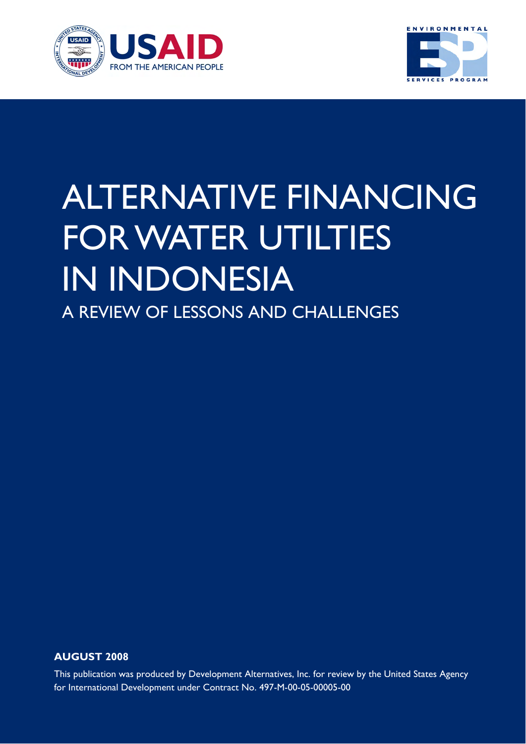



# ALTERNATIVE FINANCING FOR WATER UTILTIES IN INDONESIA A REVIEW OF LESSONS AND CHALLENGES

**AUGUST 2008** 

This publication was produced by Development Alternatives, Inc. for review by the United States Agency for International Development under Contract No. 497-M-00-05-00005-00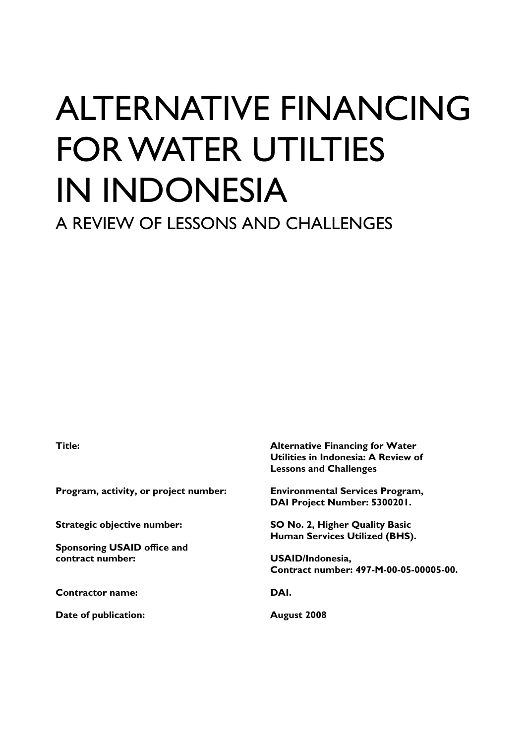# ALTERNATIVE FINANCING FOR WATER UTILTIES IN INDONESIA A REVIEW OF LESSONS AND CHALLENGES

**Program, activity, or project number: Environmental Services Program,** 

**Sponsoring USAID office and contract number: USAID/Indonesia,** 

**Contractor name: DAI.** 

**Date of publication:** August 2008

**Title: Alternative Financing for Water Utilities in Indonesia: A Review of Lessons and Challenges** 

**DAI Project Number: 5300201.** 

**Strategic objective number: SO No. 2, Higher Quality Basic Human Services Utilized (BHS).** 

**Contract number: 497-M-00-05-00005-00.**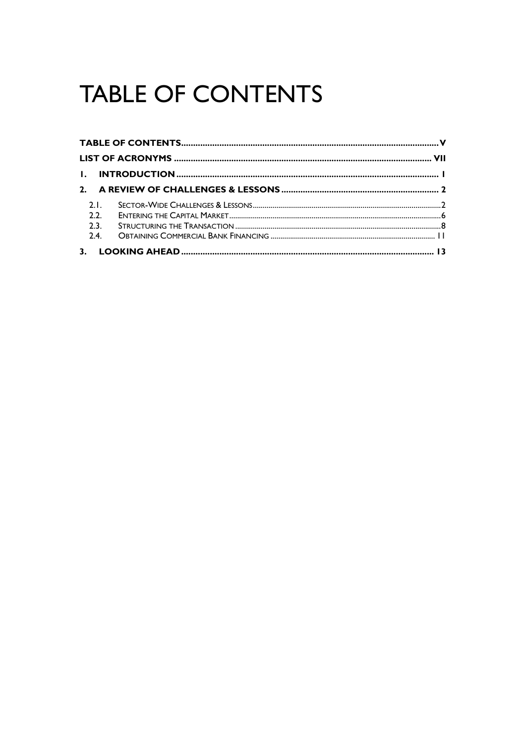## **TABLE OF CONTENTS**

| 2.1  |  |
|------|--|
| 2.2. |  |
| 2.3. |  |
| 2.4. |  |
|      |  |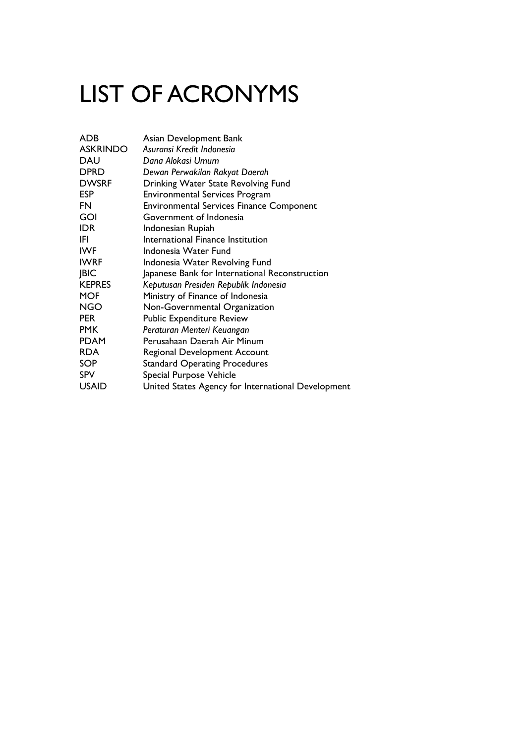## LIST OF ACRONYMS

| ADB             | Asian Development Bank                             |
|-----------------|----------------------------------------------------|
| <b>ASKRINDO</b> | Asuransi Kredit Indonesia                          |
| DAU             | Dana Alokasi Umum                                  |
| <b>DPRD</b>     | Dewan Perwakilan Rakyat Daerah                     |
| <b>DWSRF</b>    | Drinking Water State Revolving Fund                |
| <b>ESP</b>      | <b>Environmental Services Program</b>              |
| FN              | <b>Environmental Services Finance Component</b>    |
| GOI             | Government of Indonesia                            |
| IDR             | Indonesian Rupiah                                  |
| IFI             | International Finance Institution                  |
| IWF             | Indonesia Water Fund                               |
| <b>IWRF</b>     | Indonesia Water Revolving Fund                     |
| BIC             | Japanese Bank for International Reconstruction     |
| <b>KEPRES</b>   | Keputusan Presiden Republik Indonesia              |
| <b>MOF</b>      | Ministry of Finance of Indonesia                   |
| NGO             | Non-Governmental Organization                      |
| PER             | <b>Public Expenditure Review</b>                   |
| PMK             | Peraturan Menteri Keuangan                         |
| PDAM            | Perusahaan Daerah Air Minum                        |
| <b>RDA</b>      | Regional Development Account                       |
| SOP             | <b>Standard Operating Procedures</b>               |
| SPV             | Special Purpose Vehicle                            |
| <b>USAID</b>    | United States Agency for International Development |
|                 |                                                    |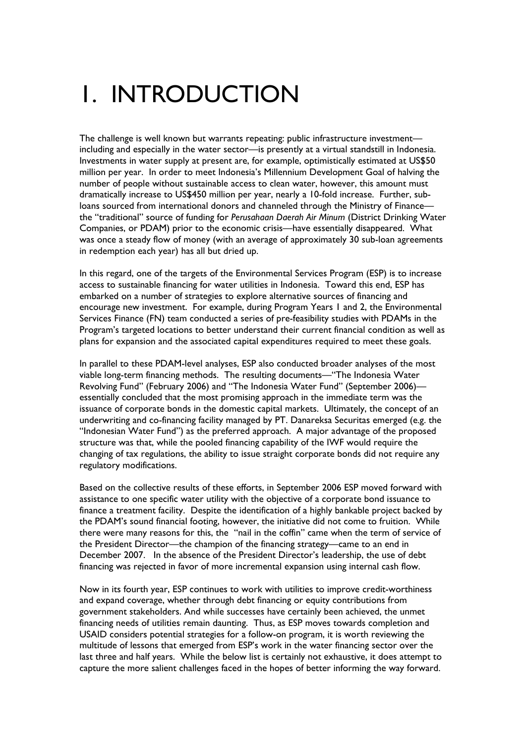### 1. INTRODUCTION

The challenge is well known but warrants repeating: public infrastructure investment including and especially in the water sector—is presently at a virtual standstill in Indonesia. Investments in water supply at present are, for example, optimistically estimated at US\$50 million per year. In order to meet Indonesia's Millennium Development Goal of halving the number of people without sustainable access to clean water, however, this amount must dramatically increase to US\$450 million per year, nearly a 10-fold increase. Further, subloans sourced from international donors and channeled through the Ministry of Finance the "traditional" source of funding for *Perusahaan Daerah Air Minum* (District Drinking Water Companies, or PDAM) prior to the economic crisis—have essentially disappeared. What was once a steady flow of money (with an average of approximately 30 sub-loan agreements in redemption each year) has all but dried up.

In this regard, one of the targets of the Environmental Services Program (ESP) is to increase access to sustainable financing for water utilities in Indonesia. Toward this end, ESP has embarked on a number of strategies to explore alternative sources of financing and encourage new investment. For example, during Program Years 1 and 2, the Environmental Services Finance (FN) team conducted a series of pre-feasibility studies with PDAMs in the Program's targeted locations to better understand their current financial condition as well as plans for expansion and the associated capital expenditures required to meet these goals.

In parallel to these PDAM-level analyses, ESP also conducted broader analyses of the most viable long-term financing methods. The resulting documents—"The Indonesia Water Revolving Fund" (February 2006) and "The Indonesia Water Fund" (September 2006) essentially concluded that the most promising approach in the immediate term was the issuance of corporate bonds in the domestic capital markets. Ultimately, the concept of an underwriting and co-financing facility managed by PT. Danareksa Securitas emerged (e.g. the "Indonesian Water Fund") as the preferred approach. A major advantage of the proposed structure was that, while the pooled financing capability of the IWF would require the changing of tax regulations, the ability to issue straight corporate bonds did not require any regulatory modifications.

Based on the collective results of these efforts, in September 2006 ESP moved forward with assistance to one specific water utility with the objective of a corporate bond issuance to finance a treatment facility. Despite the identification of a highly bankable project backed by the PDAM's sound financial footing, however, the initiative did not come to fruition. While there were many reasons for this, the "nail in the coffin" came when the term of service of the President Director—the champion of the financing strategy—came to an end in December 2007. In the absence of the President Director's leadership, the use of debt financing was rejected in favor of more incremental expansion using internal cash flow.

Now in its fourth year, ESP continues to work with utilities to improve credit-worthiness and expand coverage, whether through debt financing or equity contributions from government stakeholders. And while successes have certainly been achieved, the unmet financing needs of utilities remain daunting. Thus, as ESP moves towards completion and USAID considers potential strategies for a follow-on program, it is worth reviewing the multitude of lessons that emerged from ESP's work in the water financing sector over the last three and half years. While the below list is certainly not exhaustive, it does attempt to capture the more salient challenges faced in the hopes of better informing the way forward.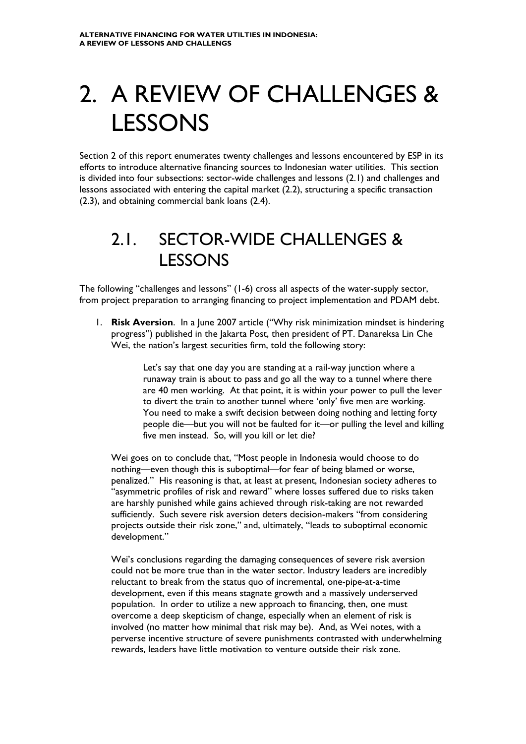### 2. A REVIEW OF CHALLENGES & LESSONS

Section 2 of this report enumerates twenty challenges and lessons encountered by ESP in its efforts to introduce alternative financing sources to Indonesian water utilities. This section is divided into four subsections: sector-wide challenges and lessons (2.1) and challenges and lessons associated with entering the capital market (2.2), structuring a specific transaction (2.3), and obtaining commercial bank loans (2.4).

### 2.1. SECTOR-WIDE CHALLENGES & LESSONS

The following "challenges and lessons" (1-6) cross all aspects of the water-supply sector, from project preparation to arranging financing to project implementation and PDAM debt.

1. **Risk Aversion**. In a June 2007 article ("Why risk minimization mindset is hindering progress") published in the Jakarta Post, then president of PT. Danareksa Lin Che Wei, the nation's largest securities firm, told the following story:

> Let's say that one day you are standing at a rail-way junction where a runaway train is about to pass and go all the way to a tunnel where there are 40 men working. At that point, it is within your power to pull the lever to divert the train to another tunnel where 'only' five men are working. You need to make a swift decision between doing nothing and letting forty people die—but you will not be faulted for it—or pulling the level and killing five men instead. So, will you kill or let die?

Wei goes on to conclude that, "Most people in Indonesia would choose to do nothing—even though this is suboptimal—for fear of being blamed or worse, penalized." His reasoning is that, at least at present, Indonesian society adheres to "asymmetric profiles of risk and reward" where losses suffered due to risks taken are harshly punished while gains achieved through risk-taking are not rewarded sufficiently. Such severe risk aversion deters decision-makers "from considering projects outside their risk zone," and, ultimately, "leads to suboptimal economic development."

Wei's conclusions regarding the damaging consequences of severe risk aversion could not be more true than in the water sector. Industry leaders are incredibly reluctant to break from the status quo of incremental, one-pipe-at-a-time development, even if this means stagnate growth and a massively underserved population. In order to utilize a new approach to financing, then, one must overcome a deep skepticism of change, especially when an element of risk is involved (no matter how minimal that risk may be). And, as Wei notes, with a perverse incentive structure of severe punishments contrasted with underwhelming rewards, leaders have little motivation to venture outside their risk zone.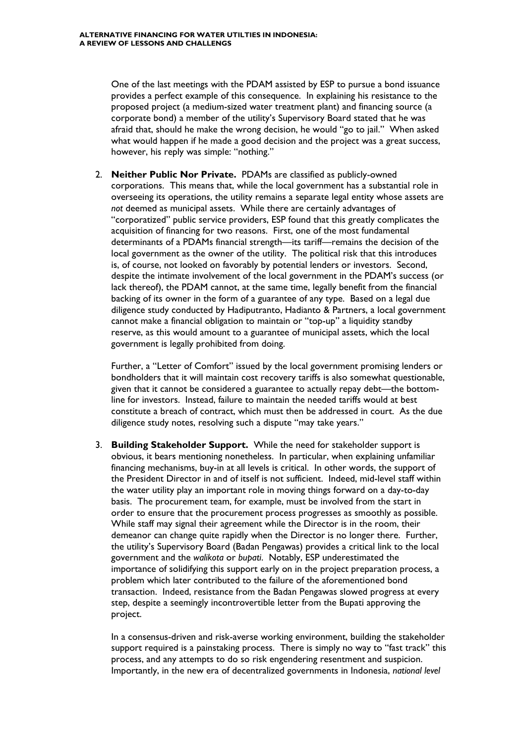One of the last meetings with the PDAM assisted by ESP to pursue a bond issuance provides a perfect example of this consequence. In explaining his resistance to the proposed project (a medium-sized water treatment plant) and financing source (a corporate bond) a member of the utility's Supervisory Board stated that he was afraid that, should he make the wrong decision, he would "go to jail." When asked what would happen if he made a good decision and the project was a great success, however, his reply was simple: "nothing."

2. **Neither Public Nor Private.** PDAMs are classified as publicly-owned corporations. This means that, while the local government has a substantial role in overseeing its operations, the utility remains a separate legal entity whose assets are *not* deemed as municipal assets. While there are certainly advantages of "corporatized" public service providers, ESP found that this greatly complicates the acquisition of financing for two reasons. First, one of the most fundamental determinants of a PDAMs financial strength—its tariff—remains the decision of the local government as the owner of the utility. The political risk that this introduces is, of course, not looked on favorably by potential lenders or investors. Second, despite the intimate involvement of the local government in the PDAM's success (or lack thereof), the PDAM cannot, at the same time, legally benefit from the financial backing of its owner in the form of a guarantee of any type. Based on a legal due diligence study conducted by Hadiputranto, Hadianto & Partners, a local government cannot make a financial obligation to maintain or "top-up" a liquidity standby reserve, as this would amount to a guarantee of municipal assets, which the local government is legally prohibited from doing.

Further, a "Letter of Comfort" issued by the local government promising lenders or bondholders that it will maintain cost recovery tariffs is also somewhat questionable, given that it cannot be considered a guarantee to actually repay debt—the bottomline for investors. Instead, failure to maintain the needed tariffs would at best constitute a breach of contract, which must then be addressed in court. As the due diligence study notes, resolving such a dispute "may take years."

3. **Building Stakeholder Support.** While the need for stakeholder support is obvious, it bears mentioning nonetheless. In particular, when explaining unfamiliar financing mechanisms, buy-in at all levels is critical. In other words, the support of the President Director in and of itself is not sufficient. Indeed, mid-level staff within the water utility play an important role in moving things forward on a day-to-day basis. The procurement team, for example, must be involved from the start in order to ensure that the procurement process progresses as smoothly as possible. While staff may signal their agreement while the Director is in the room, their demeanor can change quite rapidly when the Director is no longer there. Further, the utility's Supervisory Board (Badan Pengawas) provides a critical link to the local government and the *walikota* or *bupati*. Notably, ESP underestimated the importance of solidifying this support early on in the project preparation process, a problem which later contributed to the failure of the aforementioned bond transaction. Indeed, resistance from the Badan Pengawas slowed progress at every step, despite a seemingly incontrovertible letter from the Bupati approving the project.

In a consensus-driven and risk-averse working environment, building the stakeholder support required is a painstaking process. There is simply no way to "fast track" this process, and any attempts to do so risk engendering resentment and suspicion. Importantly, in the new era of decentralized governments in Indonesia, *national level*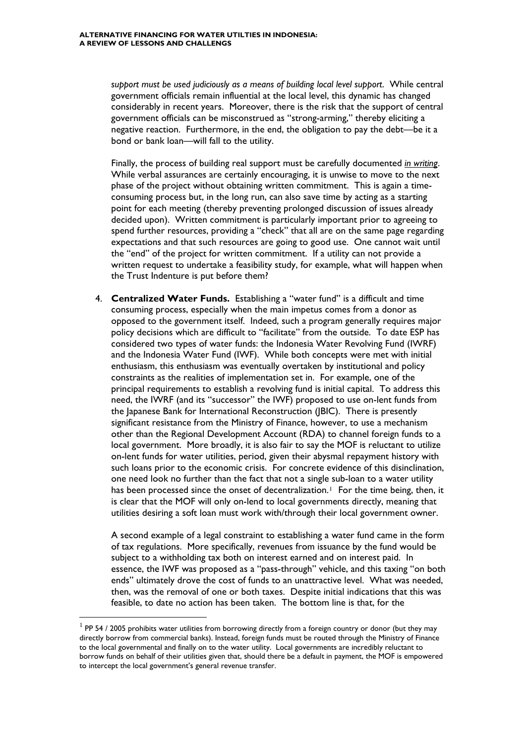*support must be used judiciously as a means of building local level support*. While central government officials remain influential at the local level, this dynamic has changed considerably in recent years. Moreover, there is the risk that the support of central government officials can be misconstrued as "strong-arming," thereby eliciting a negative reaction. Furthermore, in the end, the obligation to pay the debt—be it a bond or bank loan—will fall to the utility.

Finally, the process of building real support must be carefully documented *in writing*. While verbal assurances are certainly encouraging, it is unwise to move to the next phase of the project without obtaining written commitment. This is again a timeconsuming process but, in the long run, can also save time by acting as a starting point for each meeting (thereby preventing prolonged discussion of issues already decided upon). Written commitment is particularly important prior to agreeing to spend further resources, providing a "check" that all are on the same page regarding expectations and that such resources are going to good use. One cannot wait until the "end" of the project for written commitment. If a utility can not provide a written request to undertake a feasibility study, for example, what will happen when the Trust Indenture is put before them?

4. **Centralized Water Funds.** Establishing a "water fund" is a difficult and time consuming process, especially when the main impetus comes from a donor as opposed to the government itself. Indeed, such a program generally requires major policy decisions which are difficult to "facilitate" from the outside. To date ESP has considered two types of water funds: the Indonesia Water Revolving Fund (IWRF) and the Indonesia Water Fund (IWF). While both concepts were met with initial enthusiasm, this enthusiasm was eventually overtaken by institutional and policy constraints as the realities of implementation set in. For example, one of the principal requirements to establish a revolving fund is initial capital. To address this need, the IWRF (and its "successor" the IWF) proposed to use on-lent funds from the Japanese Bank for International Reconstruction (JBIC). There is presently significant resistance from the Ministry of Finance, however, to use a mechanism other than the Regional Development Account (RDA) to channel foreign funds to a local government. More broadly, it is also fair to say the MOF is reluctant to utilize on-lent funds for water utilities, period, given their abysmal repayment history with such loans prior to the economic crisis. For concrete evidence of this disinclination, one need look no further than the fact that not a single sub-loan to a water utility has been processed since the onset of decentralization.<sup>[1](#page-12-0)</sup> For the time being, then, it is clear that the MOF will only on-lend to local governments directly, meaning that utilities desiring a soft loan must work with/through their local government owner.

A second example of a legal constraint to establishing a water fund came in the form of tax regulations. More specifically, revenues from issuance by the fund would be subject to a withholding tax both on interest earned and on interest paid. In essence, the IWF was proposed as a "pass-through" vehicle, and this taxing "on both ends" ultimately drove the cost of funds to an unattractive level. What was needed, then, was the removal of one or both taxes. Despite initial indications that this was feasible, to date no action has been taken. The bottom line is that, for the

-

<span id="page-12-0"></span> $^{\rm 1}$  PP 54 / 2005 prohibits water utilities from borrowing directly from a foreign country or donor (but they may directly borrow from commercial banks). Instead, foreign funds must be routed through the Ministry of Finance to the local governmental and finally on to the water utility. Local governments are incredibly reluctant to borrow funds on behalf of their utilities given that, should there be a default in payment, the MOF is empowered to intercept the local government's general revenue transfer.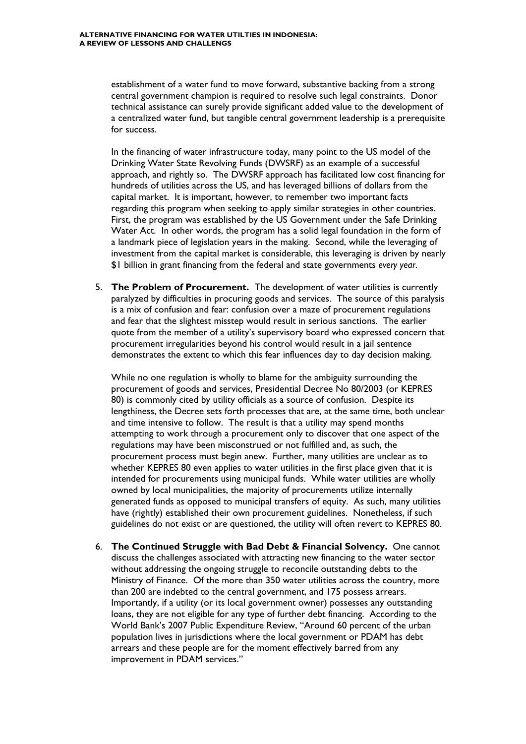establishment of a water fund to move forward, substantive backing from a strong central government champion is required to resolve such legal constraints. Donor technical assistance can surely provide significant added value to the development of a centralized water fund, but tangible central government leadership is a prerequisite for success.

In the financing of water infrastructure today, many point to the US model of the Drinking Water State Revolving Funds (DWSRF) as an example of a successful approach, and rightly so. The DWSRF approach has facilitated low cost financing for hundreds of utilities across the US, and has leveraged billions of dollars from the capital market. It is important, however, to remember two important facts regarding this program when seeking to apply similar strategies in other countries. First, the program was established by the US Government under the Safe Drinking Water Act. In other words, the program has a solid legal foundation in the form of a landmark piece of legislation years in the making. Second, while the leveraging of investment from the capital market is considerable, this leveraging is driven by nearly \$1 billion in grant financing from the federal and state governments *every year*.

5. **The Problem of Procurement.** The development of water utilities is currently paralyzed by difficulties in procuring goods and services. The source of this paralysis is a mix of confusion and fear: confusion over a maze of procurement regulations and fear that the slightest misstep would result in serious sanctions. The earlier quote from the member of a utility's supervisory board who expressed concern that procurement irregularities beyond his control would result in a jail sentence demonstrates the extent to which this fear influences day to day decision making.

While no one regulation is wholly to blame for the ambiguity surrounding the procurement of goods and services, Presidential Decree No 80/2003 (or KEPRES 80) is commonly cited by utility officials as a source of confusion. Despite its lengthiness, the Decree sets forth processes that are, at the same time, both unclear and time intensive to follow. The result is that a utility may spend months attempting to work through a procurement only to discover that one aspect of the regulations may have been misconstrued or not fulfilled and, as such, the procurement process must begin anew. Further, many utilities are unclear as to whether KEPRES 80 even applies to water utilities in the first place given that it is intended for procurements using municipal funds. While water utilities are wholly owned by local municipalities, the majority of procurements utilize internally generated funds as opposed to municipal transfers of equity. As such, many utilities have (rightly) established their own procurement guidelines. Nonetheless, if such guidelines do not exist or are questioned, the utility will often revert to KEPRES 80.

6. **The Continued Struggle with Bad Debt & Financial Solvency.** One cannot discuss the challenges associated with attracting new financing to the water sector without addressing the ongoing struggle to reconcile outstanding debts to the Ministry of Finance. Of the more than 350 water utilities across the country, more than 200 are indebted to the central government, and 175 possess arrears. Importantly, if a utility (or its local government owner) possesses any outstanding loans, they are not eligible for any type of further debt financing. According to the World Bank's 2007 Public Expenditure Review, "Around 60 percent of the urban population lives in jurisdictions where the local government or PDAM has debt arrears and these people are for the moment effectively barred from any improvement in PDAM services."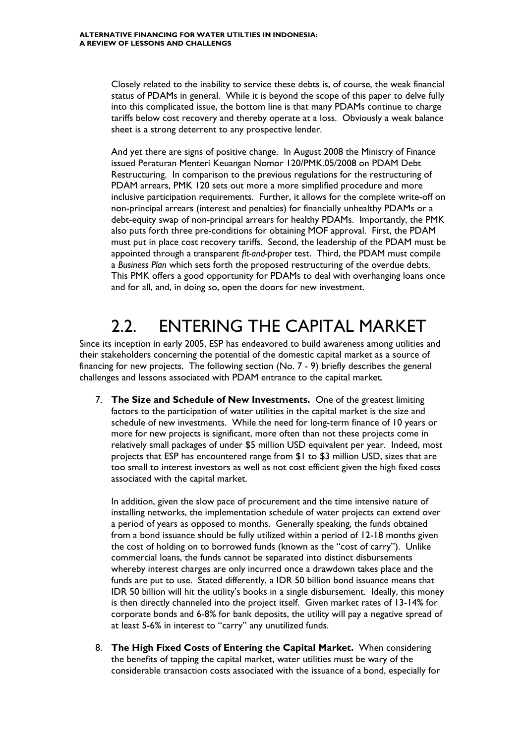Closely related to the inability to service these debts is, of course, the weak financial status of PDAMs in general. While it is beyond the scope of this paper to delve fully into this complicated issue, the bottom line is that many PDAMs continue to charge tariffs below cost recovery and thereby operate at a loss. Obviously a weak balance sheet is a strong deterrent to any prospective lender.

And yet there are signs of positive change. In August 2008 the Ministry of Finance issued Peraturan Menteri Keuangan Nomor 120/PMK.05/2008 on PDAM Debt Restructuring. In comparison to the previous regulations for the restructuring of PDAM arrears, PMK 120 sets out more a more simplified procedure and more inclusive participation requirements. Further, it allows for the complete write-off on non-principal arrears (interest and penalties) for financially unhealthy PDAMs or a debt-equity swap of non-principal arrears for healthy PDAMs. Importantly, the PMK also puts forth three pre-conditions for obtaining MOF approval. First, the PDAM must put in place cost recovery tariffs. Second, the leadership of the PDAM must be appointed through a transparent *fit-and-proper* test. Third, the PDAM must compile a *Business Plan* which sets forth the proposed restructuring of the overdue debts. This PMK offers a good opportunity for PDAMs to deal with overhanging loans once and for all, and, in doing so, open the doors for new investment.

### 2.2. ENTERING THE CAPITAL MARKET

Since its inception in early 2005, ESP has endeavored to build awareness among utilities and their stakeholders concerning the potential of the domestic capital market as a source of financing for new projects. The following section (No. 7 - 9) briefly describes the general challenges and lessons associated with PDAM entrance to the capital market.

7. **The Size and Schedule of New Investments.** One of the greatest limiting factors to the participation of water utilities in the capital market is the size and schedule of new investments. While the need for long-term finance of 10 years or more for new projects is significant, more often than not these projects come in relatively small packages of under \$5 million USD equivalent per year. Indeed, most projects that ESP has encountered range from \$1 to \$3 million USD, sizes that are too small to interest investors as well as not cost efficient given the high fixed costs associated with the capital market.

In addition, given the slow pace of procurement and the time intensive nature of installing networks, the implementation schedule of water projects can extend over a period of years as opposed to months. Generally speaking, the funds obtained from a bond issuance should be fully utilized within a period of 12-18 months given the cost of holding on to borrowed funds (known as the "cost of carry"). Unlike commercial loans, the funds cannot be separated into distinct disbursements whereby interest charges are only incurred once a drawdown takes place and the funds are put to use. Stated differently, a IDR 50 billion bond issuance means that IDR 50 billion will hit the utility's books in a single disbursement. Ideally, this money is then directly channeled into the project itself. Given market rates of 13-14% for corporate bonds and 6-8% for bank deposits, the utility will pay a negative spread of at least 5-6% in interest to "carry" any unutilized funds.

8. **The High Fixed Costs of Entering the Capital Market.** When considering the benefits of tapping the capital market, water utilities must be wary of the considerable transaction costs associated with the issuance of a bond, especially for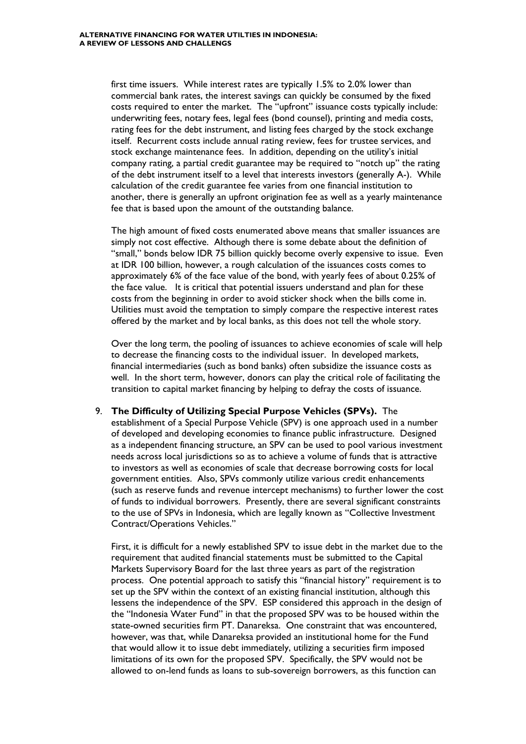first time issuers. While interest rates are typically 1.5% to 2.0% lower than commercial bank rates, the interest savings can quickly be consumed by the fixed costs required to enter the market. The "upfront" issuance costs typically include: underwriting fees, notary fees, legal fees (bond counsel), printing and media costs, rating fees for the debt instrument, and listing fees charged by the stock exchange itself. Recurrent costs include annual rating review, fees for trustee services, and stock exchange maintenance fees. In addition, depending on the utility's initial company rating, a partial credit guarantee may be required to "notch up" the rating of the debt instrument itself to a level that interests investors (generally A-). While calculation of the credit guarantee fee varies from one financial institution to another, there is generally an upfront origination fee as well as a yearly maintenance fee that is based upon the amount of the outstanding balance.

The high amount of fixed costs enumerated above means that smaller issuances are simply not cost effective. Although there is some debate about the definition of "small," bonds below IDR 75 billion quickly become overly expensive to issue. Even at IDR 100 billion, however, a rough calculation of the issuances costs comes to approximately 6% of the face value of the bond, with yearly fees of about 0.25% of the face value. It is critical that potential issuers understand and plan for these costs from the beginning in order to avoid sticker shock when the bills come in. Utilities must avoid the temptation to simply compare the respective interest rates offered by the market and by local banks, as this does not tell the whole story.

Over the long term, the pooling of issuances to achieve economies of scale will help to decrease the financing costs to the individual issuer. In developed markets, financial intermediaries (such as bond banks) often subsidize the issuance costs as well. In the short term, however, donors can play the critical role of facilitating the transition to capital market financing by helping to defray the costs of issuance.

#### 9. **The Difficulty of Utilizing Special Purpose Vehicles (SPVs).** The

establishment of a Special Purpose Vehicle (SPV) is one approach used in a number of developed and developing economies to finance public infrastructure. Designed as a independent financing structure, an SPV can be used to pool various investment needs across local jurisdictions so as to achieve a volume of funds that is attractive to investors as well as economies of scale that decrease borrowing costs for local government entities. Also, SPVs commonly utilize various credit enhancements (such as reserve funds and revenue intercept mechanisms) to further lower the cost of funds to individual borrowers. Presently, there are several significant constraints to the use of SPVs in Indonesia, which are legally known as "Collective Investment Contract/Operations Vehicles."

First, it is difficult for a newly established SPV to issue debt in the market due to the requirement that audited financial statements must be submitted to the Capital Markets Supervisory Board for the last three years as part of the registration process. One potential approach to satisfy this "financial history" requirement is to set up the SPV within the context of an existing financial institution, although this lessens the independence of the SPV. ESP considered this approach in the design of the "Indonesia Water Fund" in that the proposed SPV was to be housed within the state-owned securities firm PT. Danareksa. One constraint that was encountered, however, was that, while Danareksa provided an institutional home for the Fund that would allow it to issue debt immediately, utilizing a securities firm imposed limitations of its own for the proposed SPV. Specifically, the SPV would not be allowed to on-lend funds as loans to sub-sovereign borrowers, as this function can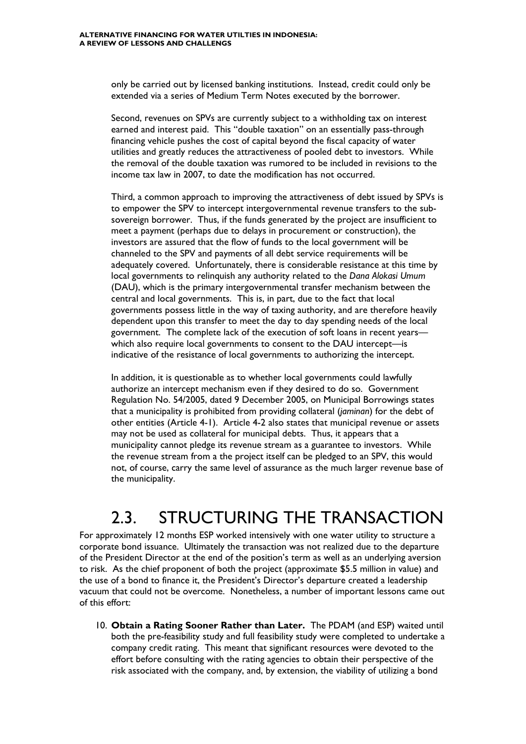only be carried out by licensed banking institutions. Instead, credit could only be extended via a series of Medium Term Notes executed by the borrower.

Second, revenues on SPVs are currently subject to a withholding tax on interest earned and interest paid. This "double taxation" on an essentially pass-through financing vehicle pushes the cost of capital beyond the fiscal capacity of water utilities and greatly reduces the attractiveness of pooled debt to investors. While the removal of the double taxation was rumored to be included in revisions to the income tax law in 2007, to date the modification has not occurred.

Third, a common approach to improving the attractiveness of debt issued by SPVs is to empower the SPV to intercept intergovernmental revenue transfers to the subsovereign borrower. Thus, if the funds generated by the project are insufficient to meet a payment (perhaps due to delays in procurement or construction), the investors are assured that the flow of funds to the local government will be channeled to the SPV and payments of all debt service requirements will be adequately covered. Unfortunately, there is considerable resistance at this time by local governments to relinquish any authority related to the *Dana Alokasi Umum* (DAU), which is the primary intergovernmental transfer mechanism between the central and local governments. This is, in part, due to the fact that local governments possess little in the way of taxing authority, and are therefore heavily dependent upon this transfer to meet the day to day spending needs of the local government. The complete lack of the execution of soft loans in recent years which also require local governments to consent to the DAU intercept—is indicative of the resistance of local governments to authorizing the intercept.

In addition, it is questionable as to whether local governments could lawfully authorize an intercept mechanism even if they desired to do so. Government Regulation No. 54/2005, dated 9 December 2005, on Municipal Borrowings states that a municipality is prohibited from providing collateral (*jaminan*) for the debt of other entities (Article 4-1). Article 4-2 also states that municipal revenue or assets may not be used as collateral for municipal debts. Thus, it appears that a municipality cannot pledge its revenue stream as a guarantee to investors. While the revenue stream from a the project itself can be pledged to an SPV, this would not, of course, carry the same level of assurance as the much larger revenue base of the municipality.

#### 2.3. STRUCTURING THE TRANSACTION

For approximately 12 months ESP worked intensively with one water utility to structure a corporate bond issuance. Ultimately the transaction was not realized due to the departure of the President Director at the end of the position's term as well as an underlying aversion to risk. As the chief proponent of both the project (approximate \$5.5 million in value) and the use of a bond to finance it, the President's Director's departure created a leadership vacuum that could not be overcome. Nonetheless, a number of important lessons came out of this effort:

10. **Obtain a Rating Sooner Rather than Later.** The PDAM (and ESP) waited until both the pre-feasibility study and full feasibility study were completed to undertake a company credit rating. This meant that significant resources were devoted to the effort before consulting with the rating agencies to obtain their perspective of the risk associated with the company, and, by extension, the viability of utilizing a bond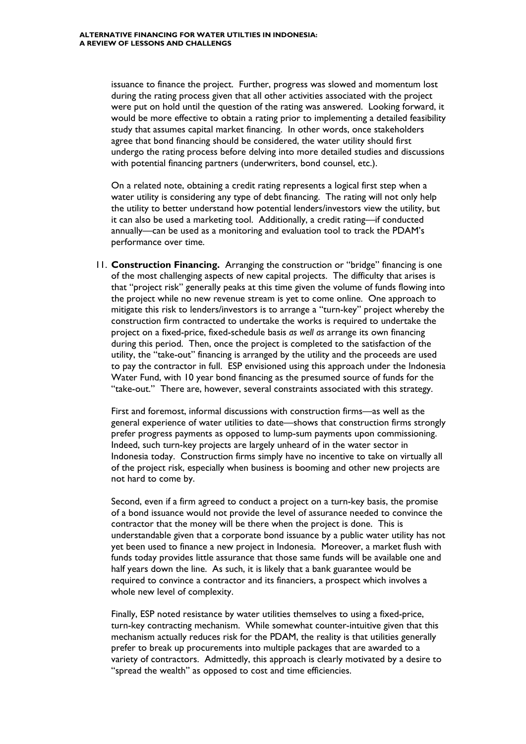issuance to finance the project. Further, progress was slowed and momentum lost during the rating process given that all other activities associated with the project were put on hold until the question of the rating was answered. Looking forward, it would be more effective to obtain a rating prior to implementing a detailed feasibility study that assumes capital market financing. In other words, once stakeholders agree that bond financing should be considered, the water utility should first undergo the rating process before delving into more detailed studies and discussions with potential financing partners (underwriters, bond counsel, etc.).

On a related note, obtaining a credit rating represents a logical first step when a water utility is considering any type of debt financing. The rating will not only help the utility to better understand how potential lenders/investors view the utility, but it can also be used a marketing tool. Additionally, a credit rating—if conducted annually—can be used as a monitoring and evaluation tool to track the PDAM's performance over time.

11. **Construction Financing.** Arranging the construction or "bridge" financing is one of the most challenging aspects of new capital projects. The difficulty that arises is that "project risk" generally peaks at this time given the volume of funds flowing into the project while no new revenue stream is yet to come online. One approach to mitigate this risk to lenders/investors is to arrange a "turn-key" project whereby the construction firm contracted to undertake the works is required to undertake the project on a fixed-price, fixed-schedule basis *as well as* arrange its own financing during this period. Then, once the project is completed to the satisfaction of the utility, the "take-out" financing is arranged by the utility and the proceeds are used to pay the contractor in full. ESP envisioned using this approach under the Indonesia Water Fund, with 10 year bond financing as the presumed source of funds for the "take-out." There are, however, several constraints associated with this strategy.

First and foremost, informal discussions with construction firms—as well as the general experience of water utilities to date—shows that construction firms strongly prefer progress payments as opposed to lump-sum payments upon commissioning. Indeed, such turn-key projects are largely unheard of in the water sector in Indonesia today. Construction firms simply have no incentive to take on virtually all of the project risk, especially when business is booming and other new projects are not hard to come by.

Second, even if a firm agreed to conduct a project on a turn-key basis, the promise of a bond issuance would not provide the level of assurance needed to convince the contractor that the money will be there when the project is done. This is understandable given that a corporate bond issuance by a public water utility has not yet been used to finance a new project in Indonesia. Moreover, a market flush with funds today provides little assurance that those same funds will be available one and half years down the line. As such, it is likely that a bank guarantee would be required to convince a contractor and its financiers, a prospect which involves a whole new level of complexity.

Finally, ESP noted resistance by water utilities themselves to using a fixed-price, turn-key contracting mechanism. While somewhat counter-intuitive given that this mechanism actually reduces risk for the PDAM, the reality is that utilities generally prefer to break up procurements into multiple packages that are awarded to a variety of contractors. Admittedly, this approach is clearly motivated by a desire to "spread the wealth" as opposed to cost and time efficiencies.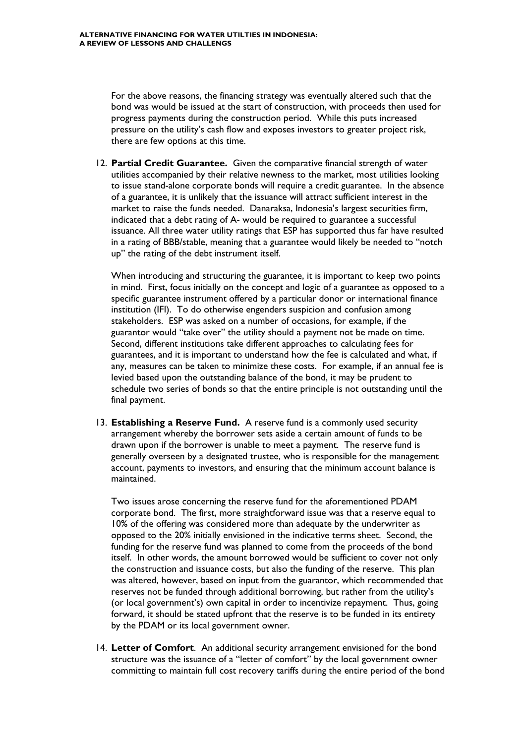For the above reasons, the financing strategy was eventually altered such that the bond was would be issued at the start of construction, with proceeds then used for progress payments during the construction period. While this puts increased pressure on the utility's cash flow and exposes investors to greater project risk, there are few options at this time.

12. **Partial Credit Guarantee.** Given the comparative financial strength of water utilities accompanied by their relative newness to the market, most utilities looking to issue stand-alone corporate bonds will require a credit guarantee. In the absence of a guarantee, it is unlikely that the issuance will attract sufficient interest in the market to raise the funds needed. Danaraksa, Indonesia's largest securities firm, indicated that a debt rating of A- would be required to guarantee a successful issuance. All three water utility ratings that ESP has supported thus far have resulted in a rating of BBB/stable, meaning that a guarantee would likely be needed to "notch up" the rating of the debt instrument itself.

When introducing and structuring the guarantee, it is important to keep two points in mind. First, focus initially on the concept and logic of a guarantee as opposed to a specific guarantee instrument offered by a particular donor or international finance institution (IFI). To do otherwise engenders suspicion and confusion among stakeholders. ESP was asked on a number of occasions, for example, if the guarantor would "take over" the utility should a payment not be made on time. Second, different institutions take different approaches to calculating fees for guarantees, and it is important to understand how the fee is calculated and what, if any, measures can be taken to minimize these costs. For example, if an annual fee is levied based upon the outstanding balance of the bond, it may be prudent to schedule two series of bonds so that the entire principle is not outstanding until the final payment.

13. **Establishing a Reserve Fund.** A reserve fund is a commonly used security arrangement whereby the borrower sets aside a certain amount of funds to be drawn upon if the borrower is unable to meet a payment. The reserve fund is generally overseen by a designated trustee, who is responsible for the management account, payments to investors, and ensuring that the minimum account balance is maintained.

Two issues arose concerning the reserve fund for the aforementioned PDAM corporate bond. The first, more straightforward issue was that a reserve equal to 10% of the offering was considered more than adequate by the underwriter as opposed to the 20% initially envisioned in the indicative terms sheet. Second, the funding for the reserve fund was planned to come from the proceeds of the bond itself. In other words, the amount borrowed would be sufficient to cover not only the construction and issuance costs, but also the funding of the reserve. This plan was altered, however, based on input from the guarantor, which recommended that reserves not be funded through additional borrowing, but rather from the utility's (or local government's) own capital in order to incentivize repayment. Thus, going forward, it should be stated upfront that the reserve is to be funded in its entirety by the PDAM or its local government owner.

14. **Letter of Comfort**. An additional security arrangement envisioned for the bond structure was the issuance of a "letter of comfort" by the local government owner committing to maintain full cost recovery tariffs during the entire period of the bond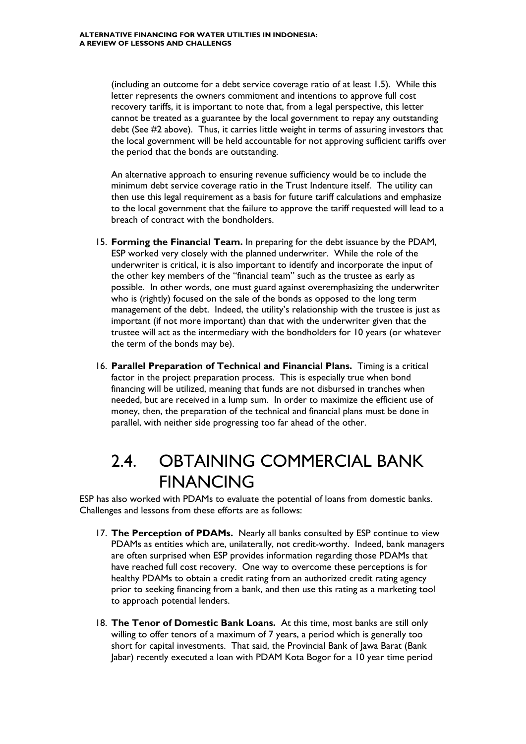(including an outcome for a debt service coverage ratio of at least 1.5). While this letter represents the owners commitment and intentions to approve full cost recovery tariffs, it is important to note that, from a legal perspective, this letter cannot be treated as a guarantee by the local government to repay any outstanding debt (See #2 above). Thus, it carries little weight in terms of assuring investors that the local government will be held accountable for not approving sufficient tariffs over the period that the bonds are outstanding.

An alternative approach to ensuring revenue sufficiency would be to include the minimum debt service coverage ratio in the Trust Indenture itself. The utility can then use this legal requirement as a basis for future tariff calculations and emphasize to the local government that the failure to approve the tariff requested will lead to a breach of contract with the bondholders.

- 15. **Forming the Financial Team.** In preparing for the debt issuance by the PDAM, ESP worked very closely with the planned underwriter. While the role of the underwriter is critical, it is also important to identify and incorporate the input of the other key members of the "financial team" such as the trustee as early as possible. In other words, one must guard against overemphasizing the underwriter who is (rightly) focused on the sale of the bonds as opposed to the long term management of the debt. Indeed, the utility's relationship with the trustee is just as important (if not more important) than that with the underwriter given that the trustee will act as the intermediary with the bondholders for 10 years (or whatever the term of the bonds may be).
- 16. **Parallel Preparation of Technical and Financial Plans.** Timing is a critical factor in the project preparation process. This is especially true when bond financing will be utilized, meaning that funds are not disbursed in tranches when needed, but are received in a lump sum. In order to maximize the efficient use of money, then, the preparation of the technical and financial plans must be done in parallel, with neither side progressing too far ahead of the other.

### 2.4. OBTAINING COMMERCIAL BANK FINANCING

ESP has also worked with PDAMs to evaluate the potential of loans from domestic banks. Challenges and lessons from these efforts are as follows:

- 17. **The Perception of PDAMs.** Nearly all banks consulted by ESP continue to view PDAMs as entities which are, unilaterally, not credit-worthy. Indeed, bank managers are often surprised when ESP provides information regarding those PDAMs that have reached full cost recovery. One way to overcome these perceptions is for healthy PDAMs to obtain a credit rating from an authorized credit rating agency prior to seeking financing from a bank, and then use this rating as a marketing tool to approach potential lenders.
- 18. **The Tenor of Domestic Bank Loans.** At this time, most banks are still only willing to offer tenors of a maximum of 7 years, a period which is generally too short for capital investments. That said, the Provincial Bank of Jawa Barat (Bank Jabar) recently executed a loan with PDAM Kota Bogor for a 10 year time period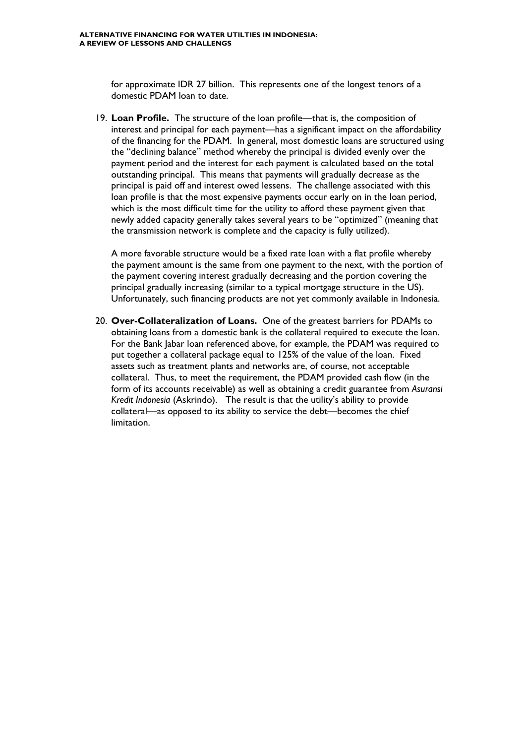for approximate IDR 27 billion. This represents one of the longest tenors of a domestic PDAM loan to date.

19. **Loan Profile.** The structure of the loan profile—that is, the composition of interest and principal for each payment—has a significant impact on the affordability of the financing for the PDAM. In general, most domestic loans are structured using the "declining balance" method whereby the principal is divided evenly over the payment period and the interest for each payment is calculated based on the total outstanding principal. This means that payments will gradually decrease as the principal is paid off and interest owed lessens. The challenge associated with this loan profile is that the most expensive payments occur early on in the loan period, which is the most difficult time for the utility to afford these payment given that newly added capacity generally takes several years to be "optimized" (meaning that the transmission network is complete and the capacity is fully utilized).

A more favorable structure would be a fixed rate loan with a flat profile whereby the payment amount is the same from one payment to the next, with the portion of the payment covering interest gradually decreasing and the portion covering the principal gradually increasing (similar to a typical mortgage structure in the US). Unfortunately, such financing products are not yet commonly available in Indonesia.

20. **Over-Collateralization of Loans.** One of the greatest barriers for PDAMs to obtaining loans from a domestic bank is the collateral required to execute the loan. For the Bank Jabar loan referenced above, for example, the PDAM was required to put together a collateral package equal to 125% of the value of the loan. Fixed assets such as treatment plants and networks are, of course, not acceptable collateral. Thus, to meet the requirement, the PDAM provided cash flow (in the form of its accounts receivable) as well as obtaining a credit guarantee from *Asuransi Kredit Indonesia* (Askrindo). The result is that the utility's ability to provide collateral—as opposed to its ability to service the debt—becomes the chief limitation.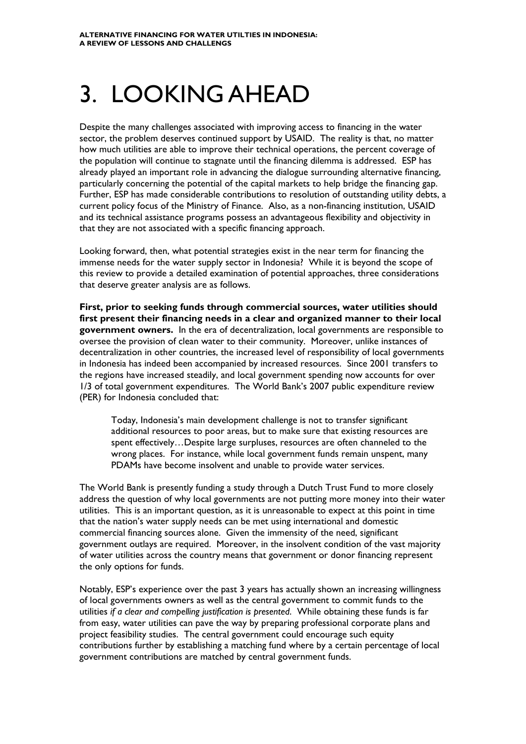### 3. LOOKING AHEAD

Despite the many challenges associated with improving access to financing in the water sector, the problem deserves continued support by USAID. The reality is that, no matter how much utilities are able to improve their technical operations, the percent coverage of the population will continue to stagnate until the financing dilemma is addressed. ESP has already played an important role in advancing the dialogue surrounding alternative financing, particularly concerning the potential of the capital markets to help bridge the financing gap. Further, ESP has made considerable contributions to resolution of outstanding utility debts, a current policy focus of the Ministry of Finance. Also, as a non-financing institution, USAID and its technical assistance programs possess an advantageous flexibility and objectivity in that they are not associated with a specific financing approach.

Looking forward, then, what potential strategies exist in the near term for financing the immense needs for the water supply sector in Indonesia? While it is beyond the scope of this review to provide a detailed examination of potential approaches, three considerations that deserve greater analysis are as follows.

**First, prior to seeking funds through commercial sources, water utilities should first present their financing needs in a clear and organized manner to their local government owners.** In the era of decentralization, local governments are responsible to oversee the provision of clean water to their community. Moreover, unlike instances of decentralization in other countries, the increased level of responsibility of local governments in Indonesia has indeed been accompanied by increased resources. Since 2001 transfers to the regions have increased steadily, and local government spending now accounts for over 1/3 of total government expenditures. The World Bank's 2007 public expenditure review (PER) for Indonesia concluded that:

Today, Indonesia's main development challenge is not to transfer significant additional resources to poor areas, but to make sure that existing resources are spent effectively…Despite large surpluses, resources are often channeled to the wrong places. For instance, while local government funds remain unspent, many PDAMs have become insolvent and unable to provide water services.

The World Bank is presently funding a study through a Dutch Trust Fund to more closely address the question of why local governments are not putting more money into their water utilities. This is an important question, as it is unreasonable to expect at this point in time that the nation's water supply needs can be met using international and domestic commercial financing sources alone. Given the immensity of the need, significant government outlays are required. Moreover, in the insolvent condition of the vast majority of water utilities across the country means that government or donor financing represent the only options for funds.

Notably, ESP's experience over the past 3 years has actually shown an increasing willingness of local governments owners as well as the central government to commit funds to the utilities *if a clear and compelling justification is presented*. While obtaining these funds is far from easy, water utilities can pave the way by preparing professional corporate plans and project feasibility studies. The central government could encourage such equity contributions further by establishing a matching fund where by a certain percentage of local government contributions are matched by central government funds.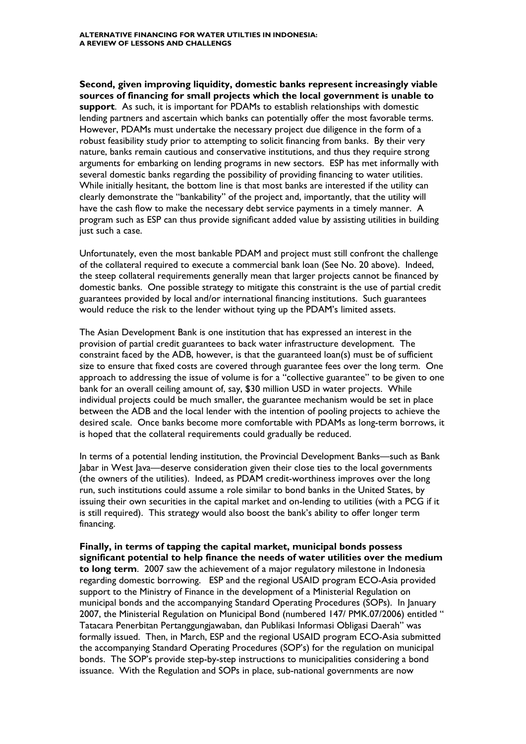**Second, given improving liquidity, domestic banks represent increasingly viable sources of financing for small projects which the local government is unable to support**. As such, it is important for PDAMs to establish relationships with domestic lending partners and ascertain which banks can potentially offer the most favorable terms. However, PDAMs must undertake the necessary project due diligence in the form of a robust feasibility study prior to attempting to solicit financing from banks. By their very nature, banks remain cautious and conservative institutions, and thus they require strong arguments for embarking on lending programs in new sectors. ESP has met informally with several domestic banks regarding the possibility of providing financing to water utilities. While initially hesitant, the bottom line is that most banks are interested if the utility can clearly demonstrate the "bankability" of the project and, importantly, that the utility will have the cash flow to make the necessary debt service payments in a timely manner. A program such as ESP can thus provide significant added value by assisting utilities in building just such a case.

Unfortunately, even the most bankable PDAM and project must still confront the challenge of the collateral required to execute a commercial bank loan (See No. 20 above). Indeed, the steep collateral requirements generally mean that larger projects cannot be financed by domestic banks. One possible strategy to mitigate this constraint is the use of partial credit guarantees provided by local and/or international financing institutions. Such guarantees would reduce the risk to the lender without tying up the PDAM's limited assets.

The Asian Development Bank is one institution that has expressed an interest in the provision of partial credit guarantees to back water infrastructure development. The constraint faced by the ADB, however, is that the guaranteed loan(s) must be of sufficient size to ensure that fixed costs are covered through guarantee fees over the long term. One approach to addressing the issue of volume is for a "collective guarantee" to be given to one bank for an overall ceiling amount of, say, \$30 million USD in water projects. While individual projects could be much smaller, the guarantee mechanism would be set in place between the ADB and the local lender with the intention of pooling projects to achieve the desired scale. Once banks become more comfortable with PDAMs as long-term borrows, it is hoped that the collateral requirements could gradually be reduced.

In terms of a potential lending institution, the Provincial Development Banks—such as Bank Jabar in West Java—deserve consideration given their close ties to the local governments (the owners of the utilities). Indeed, as PDAM credit-worthiness improves over the long run, such institutions could assume a role similar to bond banks in the United States, by issuing their own securities in the capital market and on-lending to utilities (with a PCG if it is still required). This strategy would also boost the bank's ability to offer longer term financing.

**Finally, in terms of tapping the capital market, municipal bonds possess significant potential to help finance the needs of water utilities over the medium to long term**. 2007 saw the achievement of a major regulatory milestone in Indonesia regarding domestic borrowing. ESP and the regional USAID program ECO-Asia provided support to the Ministry of Finance in the development of a Ministerial Regulation on municipal bonds and the accompanying Standard Operating Procedures (SOPs). In January 2007, the Ministerial Regulation on Municipal Bond (numbered 147/ PMK.07/2006) entitled " Tatacara Penerbitan Pertanggungjawaban, dan Publikasi Informasi Obligasi Daerah" was formally issued. Then, in March, ESP and the regional USAID program ECO-Asia submitted the accompanying Standard Operating Procedures (SOP's) for the regulation on municipal bonds. The SOP's provide step-by-step instructions to municipalities considering a bond issuance. With the Regulation and SOPs in place, sub-national governments are now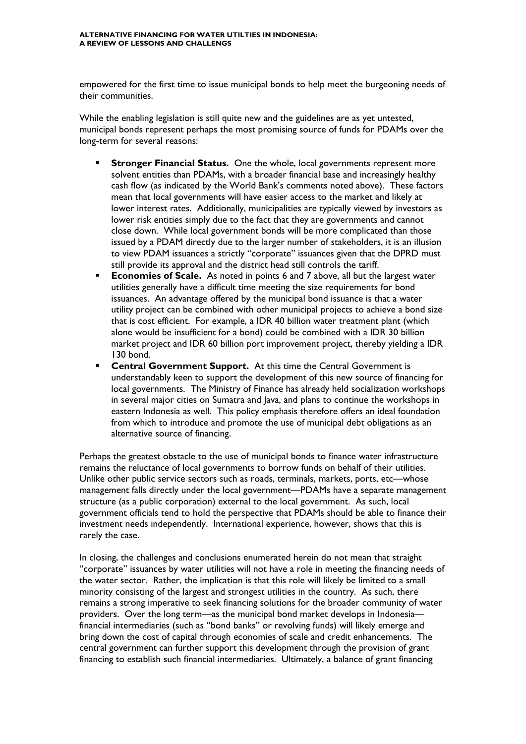empowered for the first time to issue municipal bonds to help meet the burgeoning needs of their communities.

While the enabling legislation is still quite new and the guidelines are as yet untested, municipal bonds represent perhaps the most promising source of funds for PDAMs over the long-term for several reasons:

- **Stronger Financial Status.** One the whole, local governments represent more solvent entities than PDAMs, with a broader financial base and increasingly healthy cash flow (as indicated by the World Bank's comments noted above). These factors mean that local governments will have easier access to the market and likely at lower interest rates. Additionally, municipalities are typically viewed by investors as lower risk entities simply due to the fact that they are governments and cannot close down. While local government bonds will be more complicated than those issued by a PDAM directly due to the larger number of stakeholders, it is an illusion to view PDAM issuances a strictly "corporate" issuances given that the DPRD must still provide its approval and the district head still controls the tariff.
- **Economies of Scale.** As noted in points 6 and 7 above, all but the largest water utilities generally have a difficult time meeting the size requirements for bond issuances. An advantage offered by the municipal bond issuance is that a water utility project can be combined with other municipal projects to achieve a bond size that is cost efficient. For example, a IDR 40 billion water treatment plant (which alone would be insufficient for a bond) could be combined with a IDR 30 billion market project and IDR 60 billion port improvement project, thereby yielding a IDR 130 bond.
- **Central Government Support.** At this time the Central Government is understandably keen to support the development of this new source of financing for local governments. The Ministry of Finance has already held socialization workshops in several major cities on Sumatra and Java, and plans to continue the workshops in eastern Indonesia as well. This policy emphasis therefore offers an ideal foundation from which to introduce and promote the use of municipal debt obligations as an alternative source of financing.

Perhaps the greatest obstacle to the use of municipal bonds to finance water infrastructure remains the reluctance of local governments to borrow funds on behalf of their utilities. Unlike other public service sectors such as roads, terminals, markets, ports, etc—whose management falls directly under the local government—PDAMs have a separate management structure (as a public corporation) external to the local government. As such, local government officials tend to hold the perspective that PDAMs should be able to finance their investment needs independently. International experience, however, shows that this is rarely the case.

In closing, the challenges and conclusions enumerated herein do not mean that straight "corporate" issuances by water utilities will not have a role in meeting the financing needs of the water sector. Rather, the implication is that this role will likely be limited to a small minority consisting of the largest and strongest utilities in the country. As such, there remains a strong imperative to seek financing solutions for the broader community of water providers. Over the long term—as the municipal bond market develops in Indonesia financial intermediaries (such as "bond banks" or revolving funds) will likely emerge and bring down the cost of capital through economies of scale and credit enhancements. The central government can further support this development through the provision of grant financing to establish such financial intermediaries. Ultimately, a balance of grant financing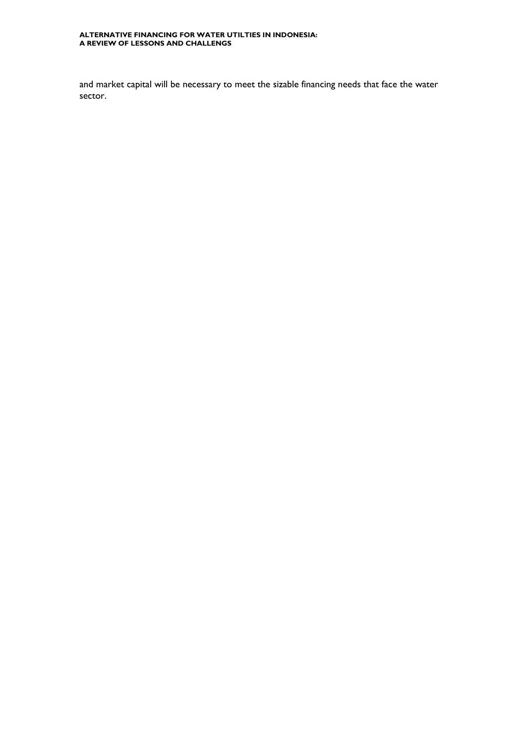#### **ALTERNATIVE FINANCING FOR WATER UTILTIES IN INDONESIA: A REVIEW OF LESSONS AND CHALLENGS**

and market capital will be necessary to meet the sizable financing needs that face the water sector.